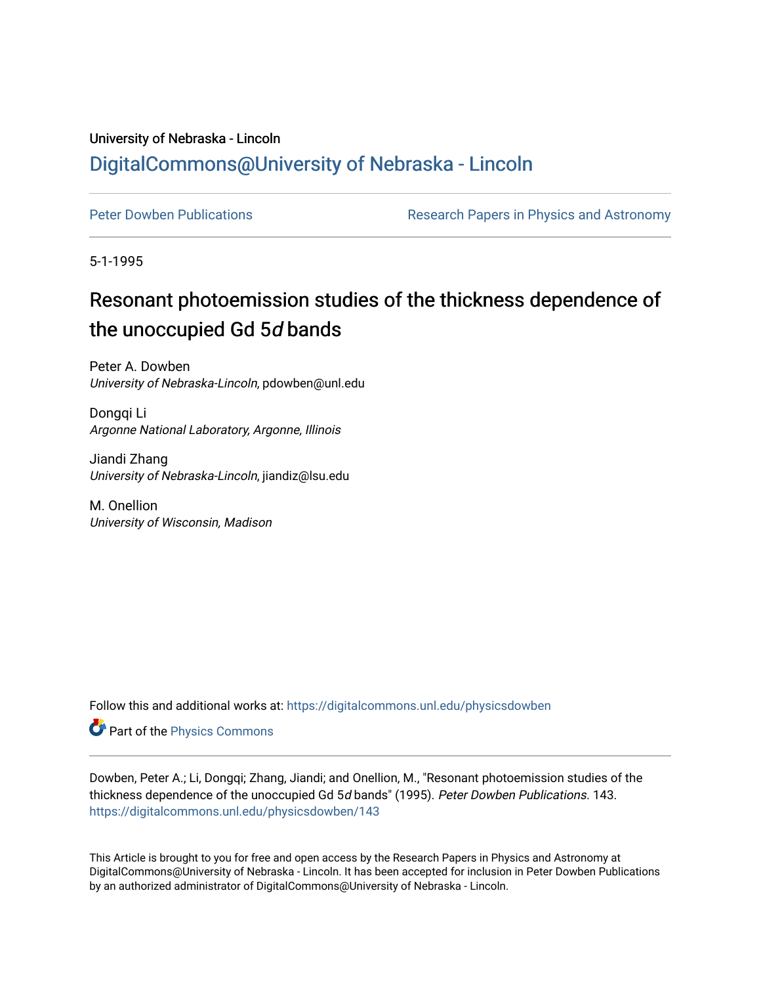## University of Nebraska - Lincoln [DigitalCommons@University of Nebraska - Lincoln](https://digitalcommons.unl.edu/)

[Peter Dowben Publications](https://digitalcommons.unl.edu/physicsdowben) **Research Papers in Physics and Astronomy** 

5-1-1995

# Resonant photoemission studies of the thickness dependence of the unoccupied Gd 5d bands

Peter A. Dowben University of Nebraska-Lincoln, pdowben@unl.edu

Dongqi Li Argonne National Laboratory, Argonne, Illinois

Jiandi Zhang University of Nebraska-Lincoln, jiandiz@lsu.edu

M. Onellion University of Wisconsin, Madison

Follow this and additional works at: [https://digitalcommons.unl.edu/physicsdowben](https://digitalcommons.unl.edu/physicsdowben?utm_source=digitalcommons.unl.edu%2Fphysicsdowben%2F143&utm_medium=PDF&utm_campaign=PDFCoverPages) 

Part of the [Physics Commons](http://network.bepress.com/hgg/discipline/193?utm_source=digitalcommons.unl.edu%2Fphysicsdowben%2F143&utm_medium=PDF&utm_campaign=PDFCoverPages)

Dowben, Peter A.; Li, Dongqi; Zhang, Jiandi; and Onellion, M., "Resonant photoemission studies of the thickness dependence of the unoccupied Gd 5d bands" (1995). Peter Dowben Publications. 143. [https://digitalcommons.unl.edu/physicsdowben/143](https://digitalcommons.unl.edu/physicsdowben/143?utm_source=digitalcommons.unl.edu%2Fphysicsdowben%2F143&utm_medium=PDF&utm_campaign=PDFCoverPages) 

This Article is brought to you for free and open access by the Research Papers in Physics and Astronomy at DigitalCommons@University of Nebraska - Lincoln. It has been accepted for inclusion in Peter Dowben Publications by an authorized administrator of DigitalCommons@University of Nebraska - Lincoln.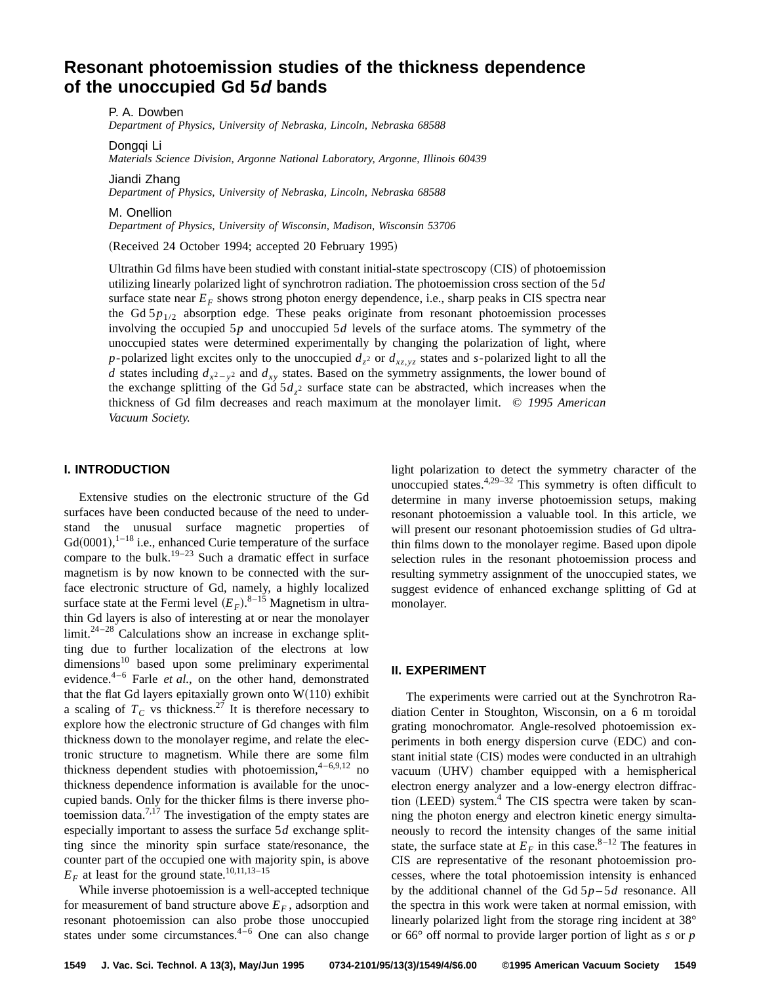### **Resonant photoemission studies of the thickness dependence of the unoccupied Gd 5d bands**

P. A. Dowben

*Department of Physics, University of Nebraska, Lincoln, Nebraska 68588*

Dongqi Li

*Materials Science Division, Argonne National Laboratory, Argonne, Illinois 60439*

Jiandi Zhang

*Department of Physics, University of Nebraska, Lincoln, Nebraska 68588*

M. Onellion

*Department of Physics, University of Wisconsin, Madison, Wisconsin 53706*

(Received 24 October 1994; accepted 20 February 1995)

Ultrathin Gd films have been studied with constant initial-state spectroscopy  $(CIS)$  of photoemission utilizing linearly polarized light of synchrotron radiation. The photoemission cross section of the 5*d* surface state near  $E_F$  shows strong photon energy dependence, i.e., sharp peaks in CIS spectra near the Gd  $5p_{1/2}$  absorption edge. These peaks originate from resonant photoemission processes involving the occupied 5*p* and unoccupied 5*d* levels of the surface atoms. The symmetry of the unoccupied states were determined experimentally by changing the polarization of light, where *p*-polarized light excites only to the unoccupied  $d_7$ <sup>2</sup> or  $d_{x_7,y_7}$  states and *s*-polarized light to all the *d* states including  $d_{x^2-y^2}$  and  $d_{xy}$  states. Based on the symmetry assignments, the lower bound of the exchange splitting of the Gd  $5d_{z^2}$  surface state can be abstracted, which increases when the thickness of Gd film decreases and reach maximum at the monolayer limit. © *1995 American Vacuum Society.*

#### **I. INTRODUCTION**

Extensive studies on the electronic structure of the Gd surfaces have been conducted because of the need to understand the unusual surface magnetic properties of  $Gd(0001),$ <sup>1-18</sup> i.e., enhanced Curie temperature of the surface compare to the bulk.<sup>19–23</sup> Such a dramatic effect in surface magnetism is by now known to be connected with the surface electronic structure of Gd, namely, a highly localized surface state at the Fermi level  $(E_F)$ .<sup>8–15</sup> Magnetism in ultrathin Gd layers is also of interesting at or near the monolayer limit. $24-28$  Calculations show an increase in exchange splitting due to further localization of the electrons at low dimensions<sup>10</sup> based upon some preliminary experimental evidence.4–6 Farle *et al.*, on the other hand, demonstrated that the flat Gd layers epitaxially grown onto  $W(110)$  exhibit a scaling of  $T_c$  vs thickness.<sup>27</sup> It is therefore necessary to explore how the electronic structure of Gd changes with film thickness down to the monolayer regime, and relate the electronic structure to magnetism. While there are some film thickness dependent studies with photoemission,  $4-6,9,12$  no thickness dependence information is available for the unoccupied bands. Only for the thicker films is there inverse photoemission data.<sup>7,17</sup> The investigation of the empty states are especially important to assess the surface 5*d* exchange splitting since the minority spin surface state/resonance, the counter part of the occupied one with majority spin, is above  $E_F$  at least for the ground state.<sup>10,11,13–15</sup>

While inverse photoemission is a well-accepted technique for measurement of band structure above  $E_F$ , adsorption and resonant photoemission can also probe those unoccupied states under some circumstances. $4-6$  One can also change light polarization to detect the symmetry character of the unoccupied states. $4,29-32$  This symmetry is often difficult to determine in many inverse photoemission setups, making resonant photoemission a valuable tool. In this article, we will present our resonant photoemission studies of Gd ultrathin films down to the monolayer regime. Based upon dipole selection rules in the resonant photoemission process and resulting symmetry assignment of the unoccupied states, we suggest evidence of enhanced exchange splitting of Gd at monolayer.

#### **II. EXPERIMENT**

The experiments were carried out at the Synchrotron Radiation Center in Stoughton, Wisconsin, on a 6 m toroidal grating monochromator. Angle-resolved photoemission experiments in both energy dispersion curve (EDC) and constant initial state (CIS) modes were conducted in an ultrahigh vacuum (UHV) chamber equipped with a hemispherical electron energy analyzer and a low-energy electron diffraction  $(LEED)$  system.<sup>4</sup> The CIS spectra were taken by scanning the photon energy and electron kinetic energy simultaneously to record the intensity changes of the same initial state, the surface state at  $E_F$  in this case.<sup>8-12</sup> The features in CIS are representative of the resonant photoemission processes, where the total photoemission intensity is enhanced by the additional channel of the Gd 5*p* – 5*d* resonance. All the spectra in this work were taken at normal emission, with linearly polarized light from the storage ring incident at 38° or 66° off normal to provide larger portion of light as *s* or *p*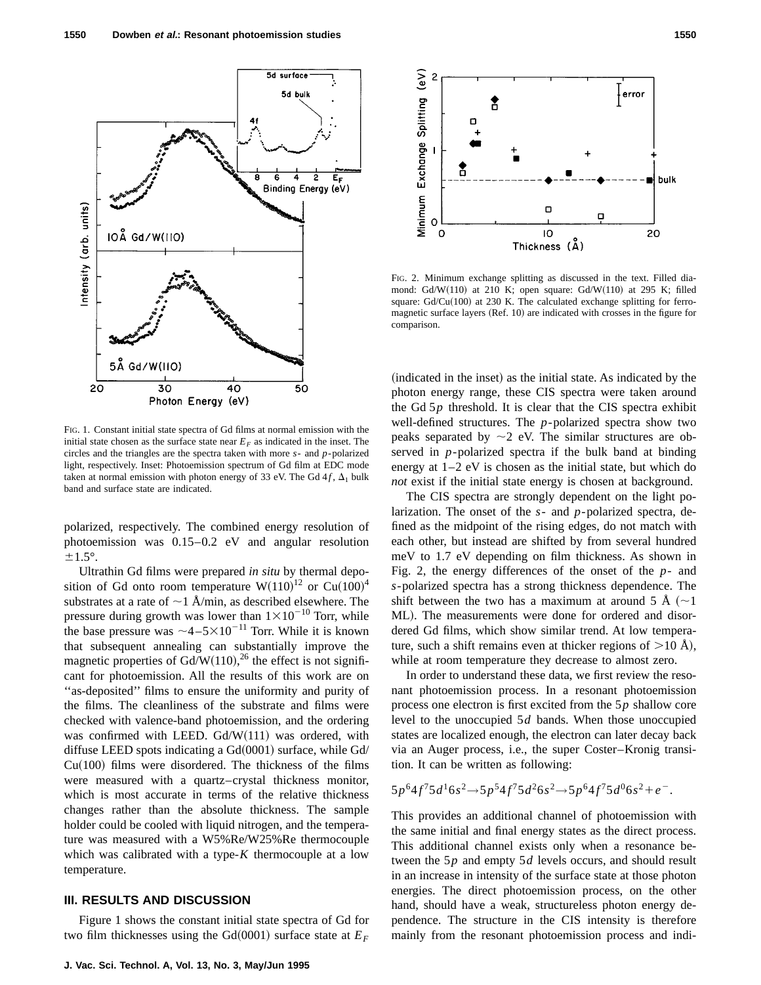

FIG. 1. Constant initial state spectra of Gd films at normal emission with the initial state chosen as the surface state near  $E_F$  as indicated in the inset. The circles and the triangles are the spectra taken with more *s*- and *p*-polarized light, respectively. Inset: Photoemission spectrum of Gd film at EDC mode taken at normal emission with photon energy of 33 eV. The Gd  $4f$ ,  $\Delta_1$  bulk band and surface state are indicated.

polarized, respectively. The combined energy resolution of photoemission was 0.15–0.2 eV and angular resolution  $\pm 1.5^\circ$ .

Ultrathin Gd films were prepared *in situ* by thermal deposition of Gd onto room temperature  $W(110)^{12}$  or  $Cu(100)^{4}$ substrates at a rate of  $\sim$  1 Å/min, as described elsewhere. The pressure during growth was lower than  $1 \times 10^{-10}$  Torr, while the base pressure was  $\sim$ 4–5 $\times$ 10<sup>-11</sup> Torr. While it is known that subsequent annealing can substantially improve the magnetic properties of Gd/W $(110)$ ,<sup>26</sup> the effect is not significant for photoemission. All the results of this work are on "as-deposited" films to ensure the uniformity and purity of the films. The cleanliness of the substrate and films were checked with valence-band photoemission, and the ordering was confirmed with LEED.  $Gd/W(111)$  was ordered, with diffuse LEED spots indicating a  $Gd(0001)$  surface, while  $Gd/$  $Cu(100)$  films were disordered. The thickness of the films were measured with a quartz–crystal thickness monitor, which is most accurate in terms of the relative thickness changes rather than the absolute thickness. The sample holder could be cooled with liquid nitrogen, and the temperature was measured with a W5%Re/W25%Re thermocouple which was calibrated with a type-*K* thermocouple at a low temperature.

#### **III. RESULTS AND DISCUSSION**

Figure 1 shows the constant initial state spectra of Gd for two film thicknesses using the Gd $(0001)$  surface state at  $E_F$ 



FIG. 2. Minimum exchange splitting as discussed in the text. Filled diamond: Gd/W $(110)$  at 210 K; open square: Gd/W $(110)$  at 295 K; filled square:  $Gd/Cu(100)$  at 230 K. The calculated exchange splitting for ferromagnetic surface layers  $(Ref. 10)$  are indicated with crosses in the figure for comparison.

(indicated in the inset) as the initial state. As indicated by the photon energy range, these CIS spectra were taken around the Gd 5*p* threshold. It is clear that the CIS spectra exhibit well-defined structures. The *p*-polarized spectra show two peaks separated by  $\sim$ 2 eV. The similar structures are observed in *p*-polarized spectra if the bulk band at binding energy at 1–2 eV is chosen as the initial state, but which do *not* exist if the initial state energy is chosen at background.

The CIS spectra are strongly dependent on the light polarization. The onset of the *s*- and *p*-polarized spectra, defined as the midpoint of the rising edges, do not match with each other, but instead are shifted by from several hundred meV to 1.7 eV depending on film thickness. As shown in Fig. 2, the energy differences of the onset of the *p*- and *s*-polarized spectra has a strong thickness dependence. The shift between the two has a maximum at around 5 Å  $(\sim]$ ML). The measurements were done for ordered and disordered Gd films, which show similar trend. At low temperature, such a shift remains even at thicker regions of  $>10$  Å), while at room temperature they decrease to almost zero.

In order to understand these data, we first review the resonant photoemission process. In a resonant photoemission process one electron is first excited from the 5*p* shallow core level to the unoccupied 5*d* bands. When those unoccupied states are localized enough, the electron can later decay back via an Auger process, i.e., the super Coster–Kronig transition. It can be written as following:

$$
5p^64f^75d^16s^2 \rightarrow 5p^54f^75d^26s^2 \rightarrow 5p^64f^75d^06s^2 + e^-.
$$

This provides an additional channel of photoemission with the same initial and final energy states as the direct process. This additional channel exists only when a resonance between the 5*p* and empty 5*d* levels occurs, and should result in an increase in intensity of the surface state at those photon energies. The direct photoemission process, on the other hand, should have a weak, structureless photon energy dependence. The structure in the CIS intensity is therefore mainly from the resonant photoemission process and indi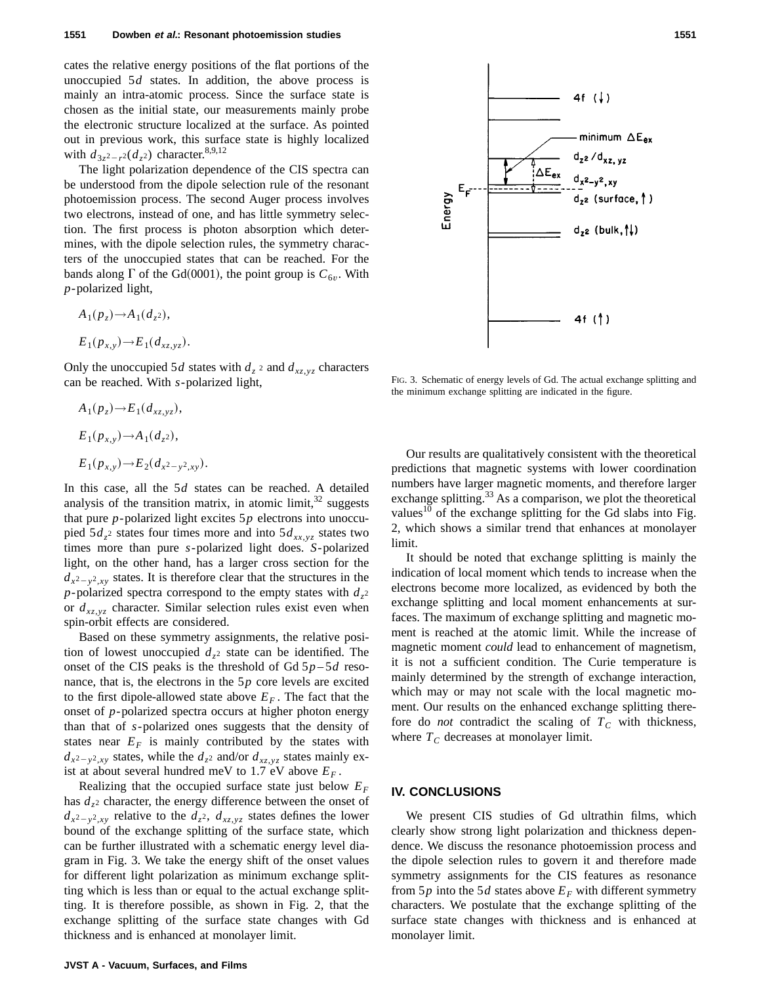cates the relative energy positions of the flat portions of the unoccupied 5*d* states. In addition, the above process is mainly an intra-atomic process. Since the surface state is chosen as the initial state, our measurements mainly probe the electronic structure localized at the surface. As pointed out in previous work, this surface state is highly localized with  $d_{3z^2-r^2}(d_z^2)$  character.<sup>8,9,12</sup>

The light polarization dependence of the CIS spectra can be understood from the dipole selection rule of the resonant photoemission process. The second Auger process involves two electrons, instead of one, and has little symmetry selection. The first process is photon absorption which determines, with the dipole selection rules, the symmetry characters of the unoccupied states that can be reached. For the bands along  $\Gamma$  of the Gd(0001), the point group is  $C_{6\nu}$ . With *p*-polarized light,

$$
A_1(p_z) \to A_1(d_z^2),
$$
  

$$
E_1(p_{x,y}) \to E_1(d_{xz,yz}).
$$

Only the unoccupied 5*d* states with  $d_z$  2 and  $d_{xz,yz}$  characters can be reached. With *s*-polarized light,

$$
A_1(p_z) \to E_1(d_{xz,yz}),
$$
  
\n
$$
E_1(p_{x,y}) \to A_1(d_z^2),
$$
  
\n
$$
E_1(p_{x,y}) \to E_2(d_{x^2-y^2,xy}).
$$

In this case, all the 5*d* states can be reached. A detailed analysis of the transition matrix, in atomic limit,  $32$  suggests that pure *p*-polarized light excites 5*p* electrons into unoccupied  $5d_{z^2}$  states four times more and into  $5d_{xx,yz}$  states two times more than pure *s*-polarized light does. *S*-polarized light, on the other hand, has a larger cross section for the  $d_{x^2-y^2,xy}$  states. It is therefore clear that the structures in the *p*-polarized spectra correspond to the empty states with  $d_z$ <sup>2</sup> or  $d_{xz,yz}$  character. Similar selection rules exist even when spin-orbit effects are considered.

Based on these symmetry assignments, the relative position of lowest unoccupied  $d_{z^2}$  state can be identified. The onset of the CIS peaks is the threshold of Gd  $5p-5d$  resonance, that is, the electrons in the 5*p* core levels are excited to the first dipole-allowed state above  $E_F$ . The fact that the onset of *p*-polarized spectra occurs at higher photon energy than that of *s*-polarized ones suggests that the density of states near  $E_F$  is mainly contributed by the states with  $d_{x^2-y^2,xy}$  states, while the  $d_{z^2}$  and/or  $d_{xz,yz}$  states mainly exist at about several hundred meV to 1.7 eV above  $E_F$ .

Realizing that the occupied surface state just below *EF* has  $d_{z^2}$  character, the energy difference between the onset of  $d_{x^2-y^2,xy}$  relative to the  $d_{z^2}$ ,  $d_{xz,yz}$  states defines the lower bound of the exchange splitting of the surface state, which can be further illustrated with a schematic energy level diagram in Fig. 3. We take the energy shift of the onset values for different light polarization as minimum exchange splitting which is less than or equal to the actual exchange splitting. It is therefore possible, as shown in Fig. 2, that the exchange splitting of the surface state changes with Gd thickness and is enhanced at monolayer limit.

**JVST A - Vacuum, Surfaces, and Films**



FIG. 3. Schematic of energy levels of Gd. The actual exchange splitting and the minimum exchange splitting are indicated in the figure.

Our results are qualitatively consistent with the theoretical predictions that magnetic systems with lower coordination numbers have larger magnetic moments, and therefore larger exchange splitting.<sup>33</sup> As a comparison, we plot the theoretical values $10$  of the exchange splitting for the Gd slabs into Fig. 2, which shows a similar trend that enhances at monolayer limit.

It should be noted that exchange splitting is mainly the indication of local moment which tends to increase when the electrons become more localized, as evidenced by both the exchange splitting and local moment enhancements at surfaces. The maximum of exchange splitting and magnetic moment is reached at the atomic limit. While the increase of magnetic moment *could* lead to enhancement of magnetism, it is not a sufficient condition. The Curie temperature is mainly determined by the strength of exchange interaction, which may or may not scale with the local magnetic moment. Our results on the enhanced exchange splitting therefore do *not* contradict the scaling of  $T_c$  with thickness, where  $T_C$  decreases at monolayer limit.

#### **IV. CONCLUSIONS**

We present CIS studies of Gd ultrathin films, which clearly show strong light polarization and thickness dependence. We discuss the resonance photoemission process and the dipole selection rules to govern it and therefore made symmetry assignments for the CIS features as resonance from  $5p$  into the  $5d$  states above  $E_F$  with different symmetry characters. We postulate that the exchange splitting of the surface state changes with thickness and is enhanced at monolayer limit.